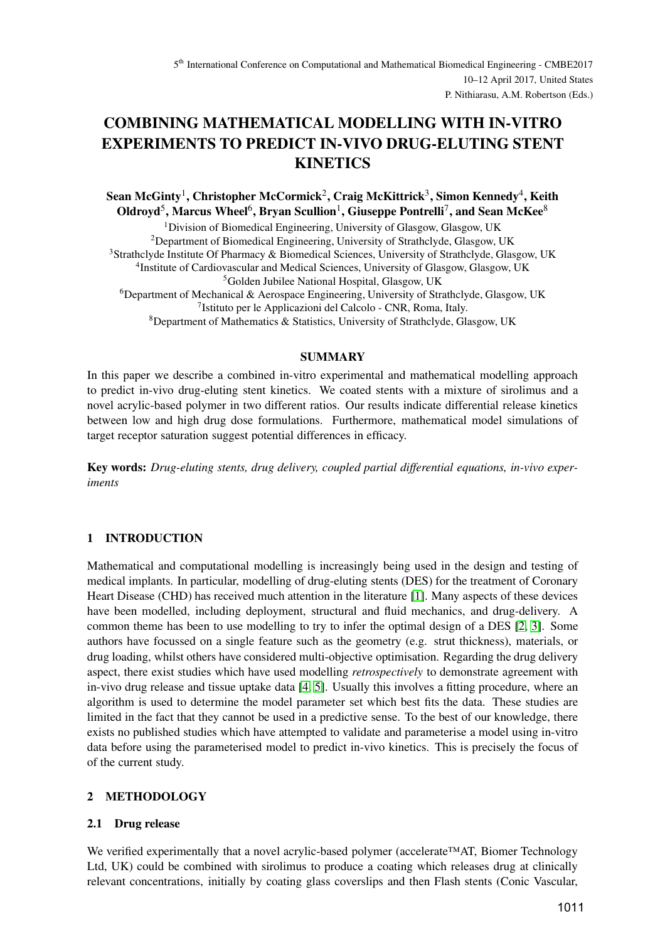# **COMBINING MATHEMATICAL MODELLING WITH IN-VITRO EXPERIMENTS TO PREDICT IN-VIVO DRUG-ELUTING STENT KINETICS**

**Sean McGinty**<sup>1</sup> **, Christopher McCormick**<sup>2</sup> **, Craig McKittrick**<sup>3</sup> **, Simon Kennedy**<sup>4</sup> **, Keith**  $O$ ldroyd<sup>5</sup>, Marcus Wheel<sup>6</sup>, Bryan Scullion<sup>1</sup>, Giuseppe Pontrelli<sup>7</sup>, and Sean McKee<sup>8</sup>

<sup>1</sup>Division of Biomedical Engineering, University of Glasgow, Glasgow, UK <sup>2</sup>Department of Biomedical Engineering, University of Strathclyde, Glasgow, UK Strathclyde Institute Of Pharmacy & Biomedical Sciences, University of Strathclyde, Glasgow, UK <sup>4</sup>Institute of Cardiovascular and Medical Sciences, University of Glasgow, Glasgow, UK Golden Jubilee National Hospital, Glasgow, UK Department of Mechanical & Aerospace Engineering, University of Strathclyde, Glasgow, UK Istituto per le Applicazioni del Calcolo - CNR, Roma, Italy. Department of Mathematics & Statistics, University of Strathclyde, Glasgow, UK

### **SUMMARY**

In this paper we describe a combined in-vitro experimental and mathematical modelling approach to predict in-vivo drug-eluting stent kinetics. We coated stents with a mixture of sirolimus and a novel acrylic-based polymer in two different ratios. Our results indicate differential release kinetics between low and high drug dose formulations. Furthermore, mathematical model simulations of target receptor saturation suggest potential differences in efficacy.

**Key words:** *Drug-eluting stents, drug delivery, coupled partial differential equations, in-vivo experiments*

# **1 INTRODUCTION**

Mathematical and computational modelling is increasingly being used in the design and testing of medical implants. In particular, modelling of drug-eluting stents (DES) for the treatment of Coronary Heart Disease (CHD) has received much attention in the literature [\[1\]](#page-3-0). Many aspects of these devices have been modelled, including deployment, structural and fluid mechanics, and drug-delivery. A common theme has been to use modelling to try to infer the optimal design of a DES [\[2,](#page-3-1) [3\]](#page-3-2). Some authors have focussed on a single feature such as the geometry (e.g. strut thickness), materials, or drug loading, whilst others have considered multi-objective optimisation. Regarding the drug delivery aspect, there exist studies which have used modelling *retrospectively* to demonstrate agreement with in-vivo drug release and tissue uptake data [\[4,](#page-3-3) [5\]](#page-3-4). Usually this involves a fitting procedure, where an algorithm is used to determine the model parameter set which best fits the data. These studies are limited in the fact that they cannot be used in a predictive sense. To the best of our knowledge, there exists no published studies which have attempted to validate and parameterise a model using in-vitro data before using the parameterised model to predict in-vivo kinetics. This is precisely the focus of of the current study.

# **2 METHODOLOGY**

# **2.1 Drug release**

We verified experimentally that a novel acrylic-based polymer (accelerate™AT, Biomer Technology Ltd, UK) could be combined with sirolimus to produce a coating which releases drug at clinically relevant concentrations, initially by coating glass coverslips and then Flash stents (Conic Vascular,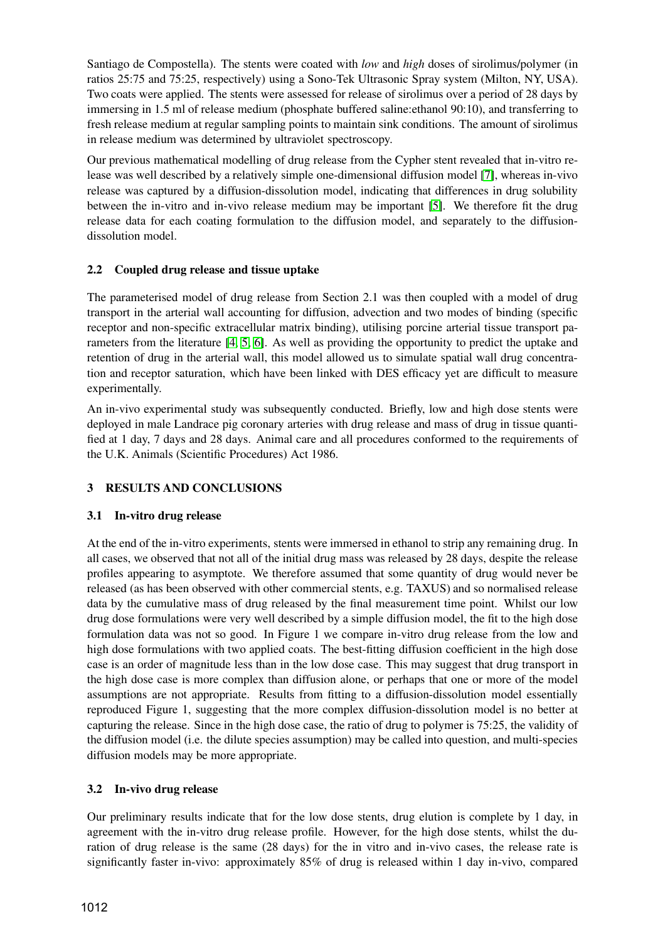Santiago de Compostella). The stents were coated with *low* and *high* doses of sirolimus/polymer (in ratios 25:75 and 75:25, respectively) using a Sono-Tek Ultrasonic Spray system (Milton, NY, USA). Two coats were applied. The stents were assessed for release of sirolimus over a period of 28 days by immersing in 1.5 ml of release medium (phosphate buffered saline:ethanol 90:10), and transferring to fresh release medium at regular sampling points to maintain sink conditions. The amount of sirolimus in release medium was determined by ultraviolet spectroscopy.

Our previous mathematical modelling of drug release from the Cypher stent revealed that in-vitro release was well described by a relatively simple one-dimensional diffusion model [\[7\]](#page-3-5), whereas in-vivo release was captured by a diffusion-dissolution model, indicating that differences in drug solubility between the in-vitro and in-vivo release medium may be important [\[5\]](#page-3-4). We therefore fit the drug release data for each coating formulation to the diffusion model, and separately to the diffusiondissolution model.

# **2.2 Coupled drug release and tissue uptake**

The parameterised model of drug release from Section 2.1 was then coupled with a model of drug transport in the arterial wall accounting for diffusion, advection and two modes of binding (specific receptor and non-specific extracellular matrix binding), utilising porcine arterial tissue transport parameters from the literature [\[4,](#page-3-3) [5,](#page-3-4) [6\]](#page-3-6). As well as providing the opportunity to predict the uptake and retention of drug in the arterial wall, this model allowed us to simulate spatial wall drug concentration and receptor saturation, which have been linked with DES efficacy yet are difficult to measure experimentally.

An in-vivo experimental study was subsequently conducted. Briefly, low and high dose stents were deployed in male Landrace pig coronary arteries with drug release and mass of drug in tissue quantified at 1 day, 7 days and 28 days. Animal care and all procedures conformed to the requirements of the U.K. Animals (Scientific Procedures) Act 1986.

# **3 RESULTS AND CONCLUSIONS**

# **3.1 In-vitro drug release**

At the end of the in-vitro experiments, stents were immersed in ethanol to strip any remaining drug. In all cases, we observed that not all of the initial drug mass was released by 28 days, despite the release profiles appearing to asymptote. We therefore assumed that some quantity of drug would never be released (as has been observed with other commercial stents, e.g. TAXUS) and so normalised release data by the cumulative mass of drug released by the final measurement time point. Whilst our low drug dose formulations were very well described by a simple diffusion model, the fit to the high dose formulation data was not so good. In Figure 1 we compare in-vitro drug release from the low and high dose formulations with two applied coats. The best-fitting diffusion coefficient in the high dose case is an order of magnitude less than in the low dose case. This may suggest that drug transport in the high dose case is more complex than diffusion alone, or perhaps that one or more of the model assumptions are not appropriate. Results from fitting to a diffusion-dissolution model essentially reproduced Figure 1, suggesting that the more complex diffusion-dissolution model is no better at capturing the release. Since in the high dose case, the ratio of drug to polymer is 75:25, the validity of the diffusion model (i.e. the dilute species assumption) may be called into question, and multi-species diffusion models may be more appropriate.

# **3.2 In-vivo drug release**

Our preliminary results indicate that for the low dose stents, drug elution is complete by 1 day, in agreement with the in-vitro drug release profile. However, for the high dose stents, whilst the duration of drug release is the same (28 days) for the in vitro and in-vivo cases, the release rate is significantly faster in-vivo: approximately 85% of drug is released within 1 day in-vivo, compared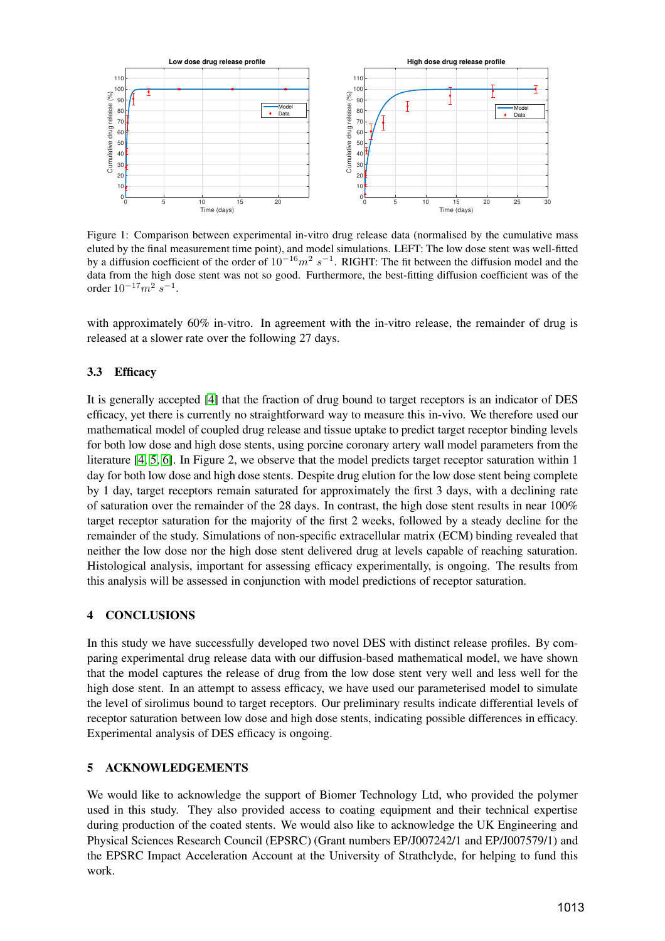

Figure 1: Comparison between experimental in-vitro drug release data (normalised by the cumulative mass eluted by the final measurement time point), and model simulations. LEFT: The low dose stent was well-fitted by a diffusion coefficient of the order of  $10^{-16}m^2 s^{-1}$ . RIGHT: The fit between the diffusion model and the data from the high dose stent was not so good. Furthermore, the best-fitting diffusion coefficient was of the order  $10^{-17}m^2$   $s^{-1}$ .

with approximately 60% in-vitro. In agreement with the in-vitro release, the remainder of drug is released at a slower rate over the following 27 days.

### **3.3 Efficacy**

It is generally accepted [\[4\]](#page-3-3) that the fraction of drug bound to target receptors is an indicator of DES efficacy, yet there is currently no straightforward way to measure this in-vivo. We therefore used our mathematical model of coupled drug release and tissue uptake to predict target receptor binding levels for both low dose and high dose stents, using porcine coronary artery wall model parameters from the literature [\[4,](#page-3-3) [5,](#page-3-4) [6\]](#page-3-6). In Figure 2, we observe that the model predicts target receptor saturation within 1 day for both low dose and high dose stents. Despite drug elution for the low dose stent being complete by 1 day, target receptors remain saturated for approximately the first 3 days, with a declining rate of saturation over the remainder of the 28 days. In contrast, the high dose stent results in near 100% target receptor saturation for the majority of the first 2 weeks, followed by a steady decline for the remainder of the study. Simulations of non-specific extracellular matrix (ECM) binding revealed that neither the low dose nor the high dose stent delivered drug at levels capable of reaching saturation. Histological analysis, important for assessing efficacy experimentally, is ongoing. The results from this analysis will be assessed in conjunction with model predictions of receptor saturation.

#### **4 CONCLUSIONS**

In this study we have successfully developed two novel DES with distinct release profiles. By comparing experimental drug release data with our diffusion-based mathematical model, we have shown that the model captures the release of drug from the low dose stent very well and less well for the high dose stent. In an attempt to assess efficacy, we have used our parameterised model to simulate the level of sirolimus bound to target receptors. Our preliminary results indicate differential levels of receptor saturation between low dose and high dose stents, indicating possible differences in efficacy. Experimental analysis of DES efficacy is ongoing.

#### **5 ACKNOWLEDGEMENTS**

We would like to acknowledge the support of Biomer Technology Ltd, who provided the polymer used in this study. They also provided access to coating equipment and their technical expertise during production of the coated stents. We would also like to acknowledge the UK Engineering and Physical Sciences Research Council (EPSRC) (Grant numbers EP/J007242/1 and EP/J007579/1) and the EPSRC Impact Acceleration Account at the University of Strathclyde, for helping to fund this work.